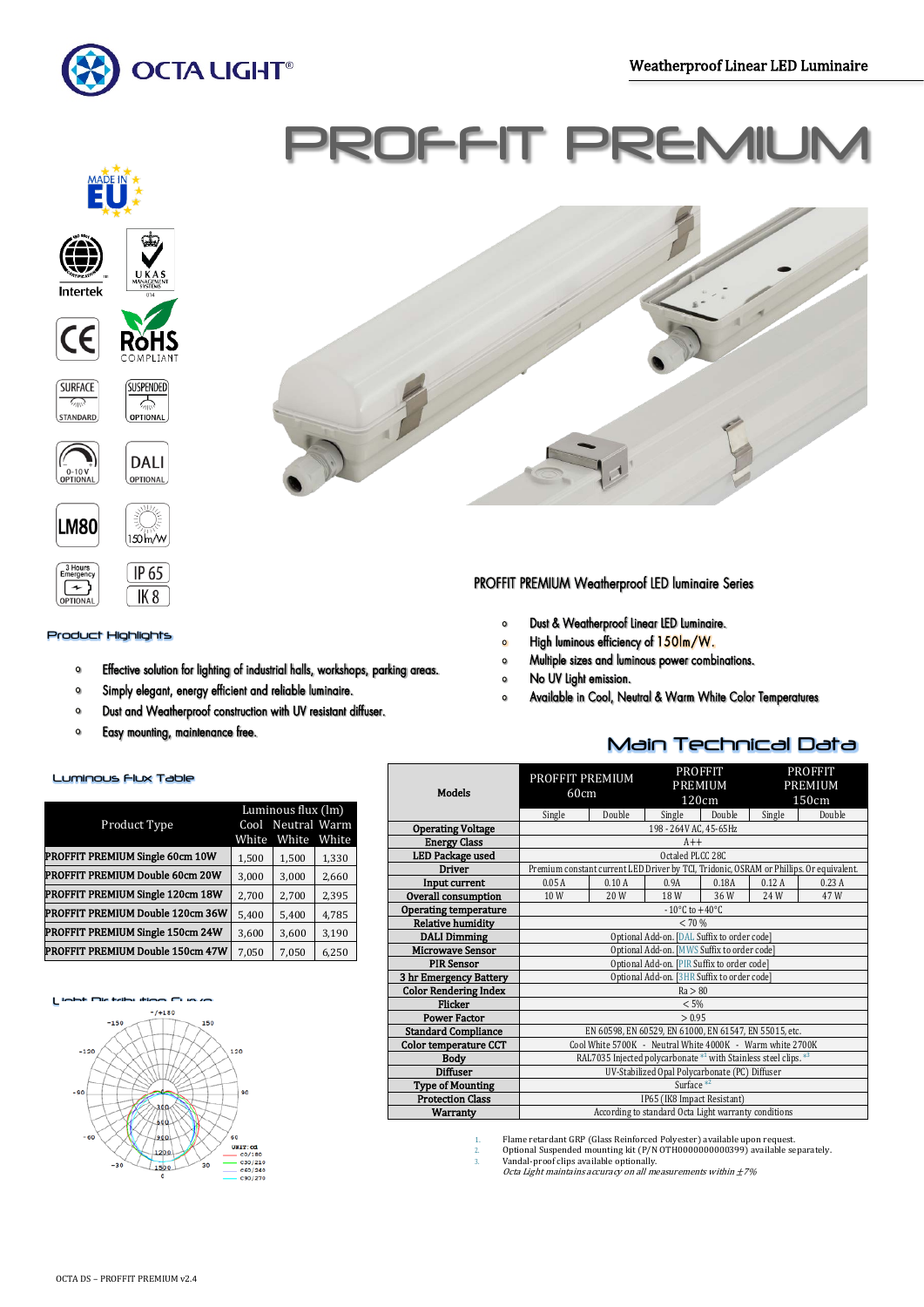Ī



# PROFFIT PR









**SUSPENDED**  $\frac{1}{\sqrt{2}}$ 

OPTIONAL





# Product Highlights

- Effective solution for lighting of industrial halls, workshops, parking areas.  $\circ$
- $\bullet$ Simply elegant, energy efficient and reliable luminaire.
- Dust and Weatherproof construction with UV resistant diffuser.  $\bullet$
- $\bullet$ Easy mounting, maintenance free.

# Luminous Flux Table

|                                  | Luminous flux (lm) |                   |       |  |
|----------------------------------|--------------------|-------------------|-------|--|
| Product Type                     |                    | Cool Neutral Warm |       |  |
|                                  | White              | White             | White |  |
| PROFFIT PREMIUM Single 60cm 10W  | 1,500              | 1,500             | 1,330 |  |
| PROFFIT PREMIUM Double 60cm 20W  | 3,000              | 3,000             | 2,660 |  |
| PROFFIT PREMIUM Single 120cm 18W | 2,700              | 2,700             | 2,395 |  |
| PROFFIT PREMIUM Double 120cm 36W | 5,400              | 5,400             | 4,785 |  |
| PROFFIT PREMIUM Single 150cm 24W | 3,600              | 3,600             | 3,190 |  |
| PROFFIT PREMIUM Double 150cm 47W | 7,050              | 7,050             | 6,250 |  |





# PROFFIT PREMIUM Weatherproof LED luminaire Series

- Dust & Weatherproof Linear LED Luminaire.  $\circ$
- High luminous efficiency of 150lm/W.  $\circ$
- Multiple sizes and luminous power combinations.  $\circ$
- No UV Light emission.  $\circ$
- Available in Cool, Neutral & Warm White Color Temperatures  $\circ$

# Main Technical Data

| <b>Models</b>                | PROFFIT PREMIUM<br>60cm                                          |        | <b>PROFFIT</b><br>PREMIUM<br>120cm |        | <b>PROFFIT</b><br><b>PREMIUM</b><br>150cm |                                                                                         |  |
|------------------------------|------------------------------------------------------------------|--------|------------------------------------|--------|-------------------------------------------|-----------------------------------------------------------------------------------------|--|
|                              | Single                                                           | Double | Single                             | Double | Single                                    | Double                                                                                  |  |
| <b>Operating Voltage</b>     |                                                                  |        | 198 - 264V AC, 45-65Hz             |        |                                           |                                                                                         |  |
| <b>Energy Class</b>          |                                                                  |        | $A++$                              |        |                                           |                                                                                         |  |
| <b>LED Package used</b>      |                                                                  |        | Octaled PLCC 28C                   |        |                                           |                                                                                         |  |
| <b>Driver</b>                |                                                                  |        |                                    |        |                                           | Premium constant current LED Driver by TCI, Tridonic, OSRAM or Phillips. Or equivalent. |  |
| Input current                | 0.05A                                                            | 0.10A  | 0.9A                               | 0.18A  | 0.12A                                     | 0.23A                                                                                   |  |
| Overall consumption          | 10W                                                              | 20 W   | 18 W                               | 36W    | 24W                                       | 47W                                                                                     |  |
| <b>Operating temperature</b> | $-10^{\circ}$ C to $+40^{\circ}$ C                               |        |                                    |        |                                           |                                                                                         |  |
| <b>Relative humidity</b>     | < 70%                                                            |        |                                    |        |                                           |                                                                                         |  |
| <b>DALI Dimming</b>          | Optional Add-on. [DAL Suffix to order code]                      |        |                                    |        |                                           |                                                                                         |  |
| <b>Microwave Sensor</b>      | Optional Add-on. [MWS Suffix to order code]                      |        |                                    |        |                                           |                                                                                         |  |
| <b>PIR Sensor</b>            | Optional Add-on. [PIR Suffix to order code]                      |        |                                    |        |                                           |                                                                                         |  |
| 3 hr Emergency Battery       | Optional Add-on. [3HR Suffix to order code]                      |        |                                    |        |                                           |                                                                                         |  |
| <b>Color Rendering Index</b> | Ra > 80                                                          |        |                                    |        |                                           |                                                                                         |  |
| <b>Flicker</b>               | < 5%                                                             |        |                                    |        |                                           |                                                                                         |  |
| <b>Power Factor</b>          | > 0.95                                                           |        |                                    |        |                                           |                                                                                         |  |
| <b>Standard Compliance</b>   | EN 60598, EN 60529, EN 61000, EN 61547, EN 55015, etc.           |        |                                    |        |                                           |                                                                                         |  |
| <b>Color temperature CCT</b> | Cool White 5700K - Neutral White 4000K - Warm white 2700K        |        |                                    |        |                                           |                                                                                         |  |
| <b>Body</b>                  | RAL7035 Injected polycarbonate *1 with Stainless steel clips. *3 |        |                                    |        |                                           |                                                                                         |  |
| <b>Diffuser</b>              | UV-Stabilized Opal Polycarbonate (PC) Diffuser                   |        |                                    |        |                                           |                                                                                         |  |
| <b>Type of Mounting</b>      | Surface $*^2$                                                    |        |                                    |        |                                           |                                                                                         |  |
| <b>Protection Class</b>      | IP65 (IK8 Impact Resistant)                                      |        |                                    |        |                                           |                                                                                         |  |
| <b>Warranty</b>              | According to standard Octa Light warranty conditions             |        |                                    |        |                                           |                                                                                         |  |

1. Fiame retardant GRP (Glass Reinforced Polyester) available upon request.<br>2. Optional Suspended mounting kit (P/N OTH0000000000399) available separately.<br>3. Vandal-proof clips available optionally.<br>*Octa Light maintains*